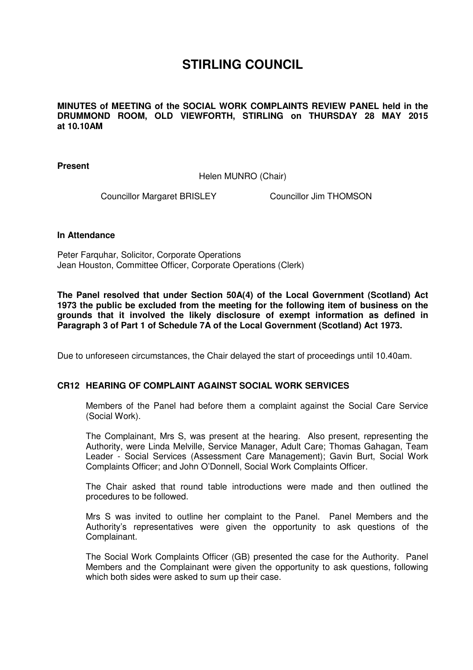## **STIRLING COUNCIL**

**MINUTES of MEETING of the SOCIAL WORK COMPLAINTS REVIEW PANEL held in the DRUMMOND ROOM, OLD VIEWFORTH, STIRLING on THURSDAY 28 MAY 2015 at 10.10AM** 

**Present** 

Helen MUNRO (Chair)

Councillor Margaret BRISLEY Councillor Jim THOMSON

## **In Attendance**

Peter Farquhar, Solicitor, Corporate Operations Jean Houston, Committee Officer, Corporate Operations (Clerk)

**The Panel resolved that under Section 50A(4) of the Local Government (Scotland) Act 1973 the public be excluded from the meeting for the following item of business on the grounds that it involved the likely disclosure of exempt information as defined in Paragraph 3 of Part 1 of Schedule 7A of the Local Government (Scotland) Act 1973.** 

Due to unforeseen circumstances, the Chair delayed the start of proceedings until 10.40am.

## **[CR12 HEARING OF COMPLAINT AGAINST SOCIAL WORK SERVICES](/forms/request.htm)**

Members of the Panel had before them a complaint against the Social Care Service (Social Work).

The Complainant, Mrs S, was present at the hearing. Also present, representing the Authority, were Linda Melville, Service Manager, Adult Care; Thomas Gahagan, Team Leader - Social Services (Assessment Care Management); Gavin Burt, Social Work Complaints Officer; and John O'Donnell, Social Work Complaints Officer.

The Chair asked that round table introductions were made and then outlined the procedures to be followed.

Mrs S was invited to outline her complaint to the Panel. Panel Members and the Authority's representatives were given the opportunity to ask questions of the Complainant.

The Social Work Complaints Officer (GB) presented the case for the Authority. Panel Members and the Complainant were given the opportunity to ask questions, following which both sides were asked to sum up their case.